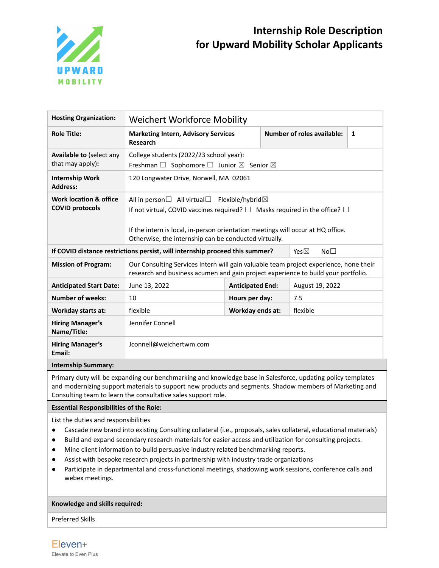

| <b>Hosting Organization:</b>                        | Weichert Workforce Mobility                                                                                                                                                                                                                                                                                   |                         |  |                                    |   |
|-----------------------------------------------------|---------------------------------------------------------------------------------------------------------------------------------------------------------------------------------------------------------------------------------------------------------------------------------------------------------------|-------------------------|--|------------------------------------|---|
| <b>Role Title:</b>                                  | <b>Marketing Intern, Advisory Services</b><br>Research                                                                                                                                                                                                                                                        |                         |  | <b>Number of roles available:</b>  | 1 |
| <b>Available to (select any</b><br>that may apply): | College students (2022/23 school year):<br>Freshman $\square$ Sophomore $\square$ Junior $\square$ Senior $\square$                                                                                                                                                                                           |                         |  |                                    |   |
| <b>Internship Work</b><br><b>Address:</b>           | 120 Longwater Drive, Norwell, MA 02061                                                                                                                                                                                                                                                                        |                         |  |                                    |   |
| Work location & office<br><b>COVID protocols</b>    | All in person $\Box$ All virtual $\Box$ Flexible/hybrid $\boxtimes$<br>If not virtual, COVID vaccines required? $\square$ Masks required in the office? $\square$<br>If the intern is local, in-person orientation meetings will occur at HQ office.<br>Otherwise, the internship can be conducted virtually. |                         |  |                                    |   |
|                                                     | If COVID distance restrictions persist, will internship proceed this summer?                                                                                                                                                                                                                                  |                         |  | Yes $\boxtimes$<br>No <sub>1</sub> |   |
| <b>Mission of Program:</b>                          | Our Consulting Services Intern will gain valuable team project experience, hone their<br>research and business acumen and gain project experience to build your portfolio.                                                                                                                                    |                         |  |                                    |   |
| <b>Anticipated Start Date:</b>                      | June 13, 2022                                                                                                                                                                                                                                                                                                 | <b>Anticipated End:</b> |  | August 19, 2022                    |   |
| <b>Number of weeks:</b>                             | 10                                                                                                                                                                                                                                                                                                            | Hours per day:          |  | 7.5                                |   |
| <b>Workday starts at:</b>                           | flexible                                                                                                                                                                                                                                                                                                      | Workday ends at:        |  | flexible                           |   |
| <b>Hiring Manager's</b><br>Name/Title:              | Jennifer Connell                                                                                                                                                                                                                                                                                              |                         |  |                                    |   |
| <b>Hiring Manager's</b><br>Email:                   | Jconnell@weichertwm.com                                                                                                                                                                                                                                                                                       |                         |  |                                    |   |
| <b>Internship Summary:</b>                          |                                                                                                                                                                                                                                                                                                               |                         |  |                                    |   |

Primary duty will be expanding our benchmarking and knowledge base in Salesforce, updating policy templates and modernizing support materials to support new products and segments. Shadow members of Marketing and Consulting team to learn the consultative sales support role.

**Essential Responsibilities of the Role:**

List the duties and responsibilities

- Cascade new brand into existing Consulting collateral (i.e., proposals, sales collateral, educational materials)
- Build and expand secondary research materials for easier access and utilization for consulting projects.
- Mine client information to build persuasive industry related benchmarking reports.
- Assist with bespoke research projects in partnership with industry trade organizations
- Participate in departmental and cross-functional meetings, shadowing work sessions, conference calls and webex meetings.

## **Knowledge and skills required:**

Preferred Skills